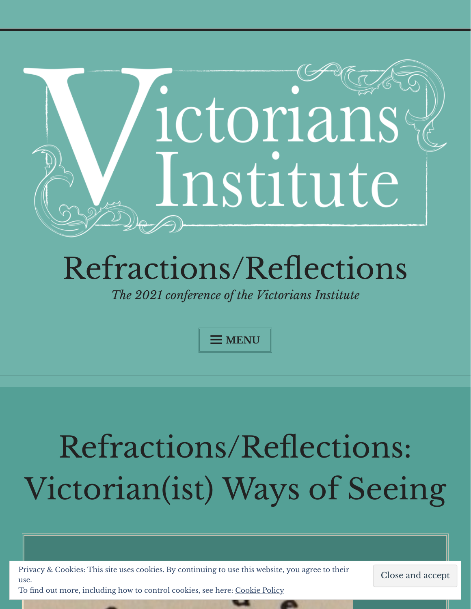

## [Refractions/Reflections](https://victoriansinstitute2021.wordpress.com/)

*The 2021 conference of the Victorians Institute*

**MENU**

# Refractions/Reflections: Victorian(ist) Ways of Seeing

Privacy & Cookies: This site uses cookies. By continuing to use this website, you agree to their use. To find out more, including how to control cookies, see here: [Cookie](https://automattic.com/cookies/) Policy

Close and accept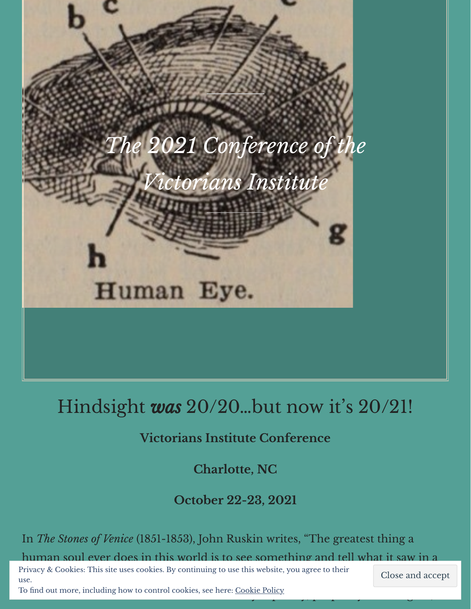

## Hindsight *was* 20/20…but now it' s 20/21!

### **Victorians Institute Conference**

**Charlotte, NC**

**October 22-23, 2021**

In *The Stones of Venice* (1851-1853), John Ruskin writes, "The greatest thing a human soul ever does in this world is to see something and tell what it saw in a

 $\rho$  planned can talk for  $\rho$  and  $\rho$  can take the canonical for one who can think for one who can thousands  $\rho$  can thousands  $\rho$ Privacy & Cookies: This site uses cookies. By continuing to use this website, you agree to their use.

To find out more, including how to control cookies, see here: <u>[Cookie](https://automattic.com/cookies/) Policy</u> and religion, prophecy and religion, prophecy and religion, and religion, and religion, and religion, and religion, and religion, and religion,

Close and accept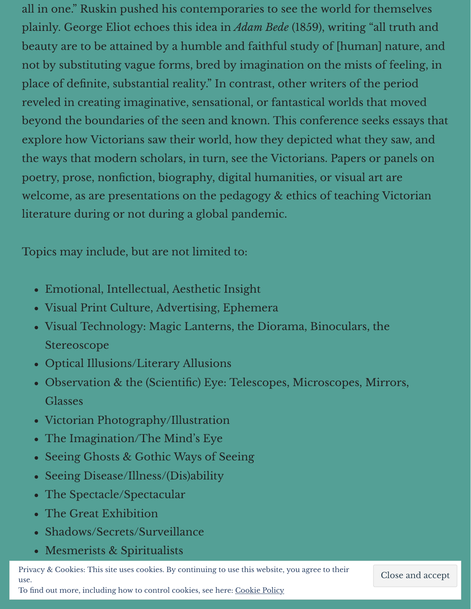all in one." Ruskin pushed his contemporaries to see the world for themselves plainly. George Eliot echoes this idea in *Adam Bede* (1859), writing "all truth and beauty are to be attained by a humble and faithful study of [human] nature, and not by substituting vague forms, bred by imagination on the mists of feeling, in place of definite, substantial reality." In contrast, other writers of the period reveled in creating imaginative, sensational, or fantastical worlds that moved beyond the boundaries of the seen and known. This conference seeks essays that explore how Victorians saw their world, how they depicted what they saw, and the ways that modern scholars, in turn, see the Victorians. Papers or panels on poetry, prose, nonfiction, biography, digital humanities, or visual art are welcome, as are presentations on the pedagogy & ethics of teaching Victorian literature during or not during a global pandemic.

Topics may include, but are not limited to:

- Emotional, Intellectual, Aesthetic Insight
- Visual Print Culture, Advertising, Ephemera
- Visual Technology: Magic Lanterns, the Diorama, Binoculars, the Stereoscope
- Optical Illusions/Literary Allusions
- Observation & the (Scientific) Eye: Telescopes, Microscopes, Mirrors, Glasses
- Victorian Photography/Illustration
- The Imagination/The Mind's Eye  $\bullet$
- Seeing Ghosts & Gothic Ways of Seeing  $\bullet$
- Seeing Disease/Illness/(Dis)ability  $\bullet$
- The Spectacle/Spectacular  $\bullet$
- The Great Exhibition
- Shadows/Secrets/Surveillance
- Mesmerists & Spiritualists

Privacy & Cookies: This site uses cookies. By continuing to use this website, you agree to their use.

Close and accept

To find out more, including how to control cookies, see here: <u>[Cookie](https://automattic.com/cookies/) Policy</u>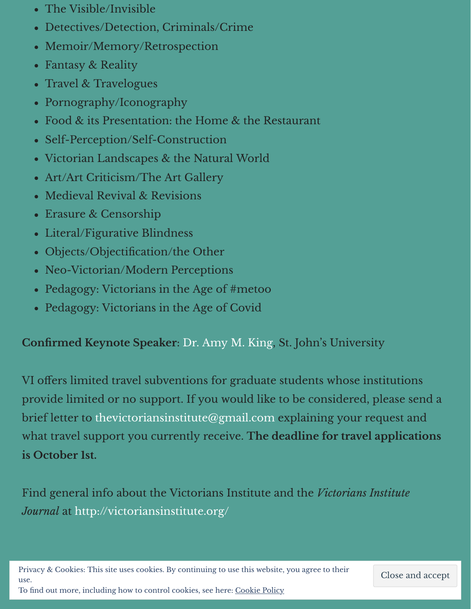- The Visible/Invisible
- Detectives/Detection, Criminals/Crime
- Memoir/Memory/Retrospection
- Fantasy & Reality
- Travel & Travelogues
- Pornography/Iconography
- Food & its Presentation: the Home & the Restaurant
- Self-Perception/Self-Construction
- Victorian Landscapes & the Natural World
- Art/Art Criticism/The Art Gallery
- Medieval Revival & Revisions
- Erasure & Censorship
- Literal/Figurative Blindness  $\bullet$
- Objects/Objectification/the Other
- Neo-Victorian/Modern Perceptions
- Pedagogy: Victorians in the Age of #metoo
- Pedagogy: Victorians in the Age of Covid

#### **Confirmed Keynote Speaker**: Dr. [Amy](https://www.stjohns.edu/academics/faculty/amy-king) M. King, St. John's University

VI offers limited travel subventions for graduate students whose institutions provide limited or no support. If you would like to be considered, please send a brief letter to [thevictoriansinstitute@gmail.com](mailto:thevictoriansinstitute@gmail.com) explaining your request and what travel support you currently receive. **The deadline for travel applications is October 1st.**

Find general info about the Victorians Institute and the *Victorians Institute Journal* at <http://victoriansinstitute.org/>